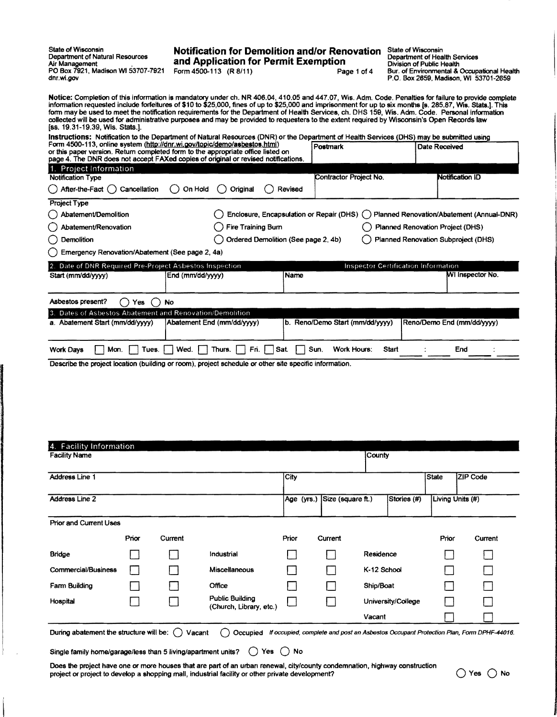| <b>State of Wisconsin</b><br>Department of Natural Resources<br>Air Management<br>PO Box 7921, Madison WI 53707-7921<br>dnr.wi.gov | <b>Notification for Demolition and/or Renovation</b><br>and Application for Permit Exemption<br>Form 4500-113 (R 8/11) | Page 1 of 4 | State of Wisconsin<br>Department of Health Services<br>Division of Public Health<br>Bur. of Environmental & Occupational Health<br>P.O. Box 2659, Madison, WI 53701-2659 |
|------------------------------------------------------------------------------------------------------------------------------------|------------------------------------------------------------------------------------------------------------------------|-------------|--------------------------------------------------------------------------------------------------------------------------------------------------------------------------|
|------------------------------------------------------------------------------------------------------------------------------------|------------------------------------------------------------------------------------------------------------------------|-------------|--------------------------------------------------------------------------------------------------------------------------------------------------------------------------|

Notice: Completion of this information is mandatory under ch. NR 406.04, 410.05 and 447.07, Wis. Adm. Code. Penalties for failure to provide complete<br>information requested include forfeitures of \$10 to \$25,000, fines of up collected will be used for administrative purposes and may be provided to requesters to the extent required by Wisconsin's Open Records law<br>[ss. 19.31-19.39, Wis. Stats.].

| Form 4500-113, online system (http://dnr.wi.gov/topic/demo/asbestos.html)                | Instructions: Notification to the Department of Natural Resources (DNR) or the Department of Health Services (DHS) may be submitted using<br>or this paper version. Return completed form to the appropriate office listed on<br>page 4. The DNR does not accept FAXed copies of original or revised notifications. | Postmark                                   | Date Received                              |  |  |  |
|------------------------------------------------------------------------------------------|---------------------------------------------------------------------------------------------------------------------------------------------------------------------------------------------------------------------------------------------------------------------------------------------------------------------|--------------------------------------------|--------------------------------------------|--|--|--|
| 1. Project Information<br><b>Notification Type</b>                                       |                                                                                                                                                                                                                                                                                                                     | Contractor Project No.                     | <b>Notification ID</b>                     |  |  |  |
| $( )$ After-the-Fact $( )$<br>Cancellation                                               | On Hold<br>Original                                                                                                                                                                                                                                                                                                 | Revised                                    |                                            |  |  |  |
| Project Type                                                                             |                                                                                                                                                                                                                                                                                                                     |                                            |                                            |  |  |  |
| Abatement/Demolition                                                                     |                                                                                                                                                                                                                                                                                                                     | Enclosure, Encapsulation or Repair (DHS) ( | Planned Renovation/Abatement (Annual-DNR)  |  |  |  |
| Abatement/Renovation                                                                     | Fire Training Burn                                                                                                                                                                                                                                                                                                  |                                            | Planned Renovation Project (DHS)           |  |  |  |
| Ordered Demolition (See page 2, 4b)<br>Planned Renovation Subproject (DHS)<br>Demolition |                                                                                                                                                                                                                                                                                                                     |                                            |                                            |  |  |  |
| Emergency Renovation/Abatement (See page 2, 4a)                                          |                                                                                                                                                                                                                                                                                                                     |                                            |                                            |  |  |  |
| 2. Date of DNR Required Pre-Project Asbestos Inspection                                  |                                                                                                                                                                                                                                                                                                                     |                                            | <b>Inspector Certification Information</b> |  |  |  |
| Start (mm/dd/yyyy)                                                                       | End (mm/dd/yyyy)                                                                                                                                                                                                                                                                                                    | Name                                       | WI Inspector No.                           |  |  |  |
| Asbestos present?<br>Yes                                                                 | No                                                                                                                                                                                                                                                                                                                  |                                            |                                            |  |  |  |
| 3. Dates of Asbestos Abatement and Renovation/Demolition                                 |                                                                                                                                                                                                                                                                                                                     |                                            |                                            |  |  |  |
| a. Abatement Start (mm/dd/yyyy)                                                          | Abatement End (mm/dd/yyyy)                                                                                                                                                                                                                                                                                          | b. Reno/Demo Start (mm/dd/yyyy)            | Reno/Demo End (mm/dd/yyyy)                 |  |  |  |
| Work Days<br>Mon.<br>Tues.                                                               | Wed.<br>Sat.<br>Thurs.<br>Fn.                                                                                                                                                                                                                                                                                       | Sun.<br>Work Hours:                        | Start<br>End                               |  |  |  |

Describe the project location (building or room), project schedule or other site specific information.

|       |                               |                        | City                    |            |         |                   | State                                                                           | <b>ZIP Code</b> |
|-------|-------------------------------|------------------------|-------------------------|------------|---------|-------------------|---------------------------------------------------------------------------------|-----------------|
|       |                               |                        |                         |            |         | Stories (#)       | Living Units (#)                                                                |                 |
|       |                               |                        |                         |            |         |                   |                                                                                 |                 |
| Prior | Current                       |                        | Prior                   |            |         |                   | Prior                                                                           | Current         |
|       |                               | Industrial             |                         |            |         |                   |                                                                                 |                 |
|       |                               | <b>Miscellaneous</b>   |                         |            |         |                   |                                                                                 |                 |
|       |                               | Office                 |                         |            |         |                   |                                                                                 |                 |
|       |                               | <b>Public Building</b> |                         |            |         |                   |                                                                                 |                 |
|       |                               |                        |                         |            |         |                   |                                                                                 |                 |
|       | <b>Prior and Current Uses</b> |                        | (Church, Library, etc.) | Age (yrs.) | Current | Size (square ft.) | County<br>Residence<br>K-12 School<br>Ship/Boat<br>University/College<br>Vacant |                 |

Single family home/garage/less than 5 living/apartment units?  $\bigcirc$  Yes  $\bigcirc$  No

Does the project have one or more houses that are part of an urbari renewal, city/county condemnation, highway construction project to develop a shopping mall, industrial facility or other private development?  $\bigcirc$  Yes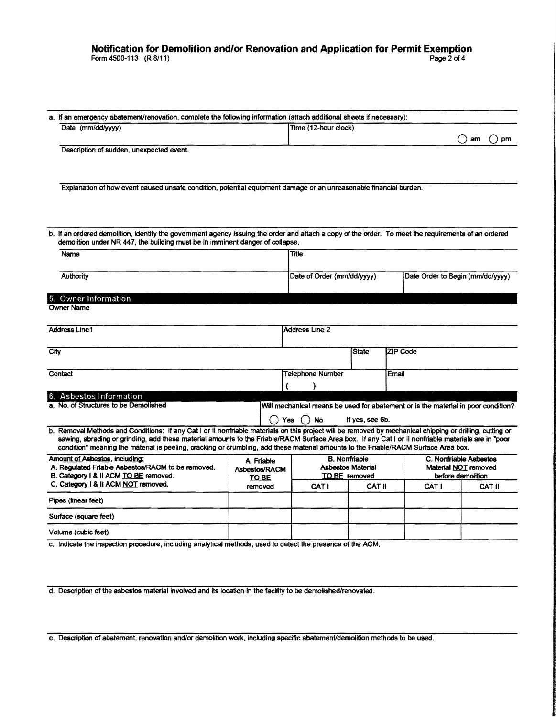# **Notification for Demolition and/or Renovation and Application for Permit Exemption Form 4500-113** (R 8/11) Form 4500-113  $(R 8/11)$

| Date (mm/dd/yyyy)<br>Description of sudden, unexpected event.<br>Explanation of how event caused unsafe condition, potential equipment damage or an unreasonable financial burden.<br>b. If an ordered demolition, identify the government agency issuing the order and attach a copy of the order. To meet the requirements of an ordered                                                                                                              |                                      | Time (12-hour clock)                                                                              |                 |          |                                                                     | am<br>pm      |
|---------------------------------------------------------------------------------------------------------------------------------------------------------------------------------------------------------------------------------------------------------------------------------------------------------------------------------------------------------------------------------------------------------------------------------------------------------|--------------------------------------|---------------------------------------------------------------------------------------------------|-----------------|----------|---------------------------------------------------------------------|---------------|
|                                                                                                                                                                                                                                                                                                                                                                                                                                                         |                                      |                                                                                                   |                 |          |                                                                     |               |
|                                                                                                                                                                                                                                                                                                                                                                                                                                                         |                                      |                                                                                                   |                 |          |                                                                     |               |
|                                                                                                                                                                                                                                                                                                                                                                                                                                                         |                                      |                                                                                                   |                 |          |                                                                     |               |
|                                                                                                                                                                                                                                                                                                                                                                                                                                                         |                                      |                                                                                                   |                 |          |                                                                     |               |
| demolition under NR 447, the building must be in imminent danger of collapse,                                                                                                                                                                                                                                                                                                                                                                           |                                      |                                                                                                   |                 |          |                                                                     |               |
| Name                                                                                                                                                                                                                                                                                                                                                                                                                                                    |                                      | Title                                                                                             |                 |          |                                                                     |               |
| <b>Authority</b>                                                                                                                                                                                                                                                                                                                                                                                                                                        |                                      | Date of Order (mm/dd/yyyy)                                                                        |                 |          | Date Order to Begin (mm/dd/yyyy)                                    |               |
| 5. Owner Information<br><b>Owner Name</b>                                                                                                                                                                                                                                                                                                                                                                                                               |                                      |                                                                                                   |                 |          |                                                                     |               |
| Address Line1                                                                                                                                                                                                                                                                                                                                                                                                                                           |                                      | Address Line 2                                                                                    |                 |          |                                                                     |               |
| City                                                                                                                                                                                                                                                                                                                                                                                                                                                    |                                      |                                                                                                   | <b>State</b>    | ZIP Code |                                                                     |               |
| Contact                                                                                                                                                                                                                                                                                                                                                                                                                                                 |                                      | Telephone Number                                                                                  |                 | Email    |                                                                     |               |
| 6. Asbestos Information                                                                                                                                                                                                                                                                                                                                                                                                                                 |                                      |                                                                                                   |                 |          |                                                                     |               |
| a. No. of Structures to be Demolished                                                                                                                                                                                                                                                                                                                                                                                                                   |                                      | Will mechanical means be used for abatement or is the material in poor condition?<br>() Yes () No | If yes, see 6b. |          |                                                                     |               |
| b. Removal Methods and Conditions: If any Cat I or II nonfriable materials on this project will be removed by mechanical chipping or drilling, cutting or<br>sawing, abrading or grinding, add these material amounts to the Friable/RACM Surface Area box. If any Cat I or II nonfriable materials are in "poor<br>condition" meaning the material is peeling, cracking or crumbling, add these material amounts to the Friable/RACM Surface Area box. |                                      |                                                                                                   |                 |          |                                                                     |               |
| Amount of Asbestos, including:<br>A. Regulated Friable Asbestos/RACM to be removed.<br>B. Category   &    ACM TO BE removed.                                                                                                                                                                                                                                                                                                                            | A. Friable<br>Asbestos/RACM<br>TO BE | <b>B.</b> Nonfriable<br>Asbestos Material<br>TO BE removed<br><b>CATI</b><br>CAT II               |                 |          | C. Nonfriable Asbestos<br>Material NOT removed<br>before demolition |               |
| C. Category   & II ACM NOT removed.                                                                                                                                                                                                                                                                                                                                                                                                                     | removed                              |                                                                                                   |                 | CAT I    |                                                                     | <b>CAT II</b> |
| Pipes (linear feet)                                                                                                                                                                                                                                                                                                                                                                                                                                     |                                      |                                                                                                   |                 |          |                                                                     |               |
| Surface (square feet)                                                                                                                                                                                                                                                                                                                                                                                                                                   |                                      |                                                                                                   |                 |          |                                                                     |               |
| Volume (cubic feet)                                                                                                                                                                                                                                                                                                                                                                                                                                     |                                      |                                                                                                   |                 |          |                                                                     |               |

d. Description of the asbestos material involved and its location in the facility to be demolished/renovated.

e. Description of abatement, renovation and/or demolition work, including specific abatement/demolition methods to be used.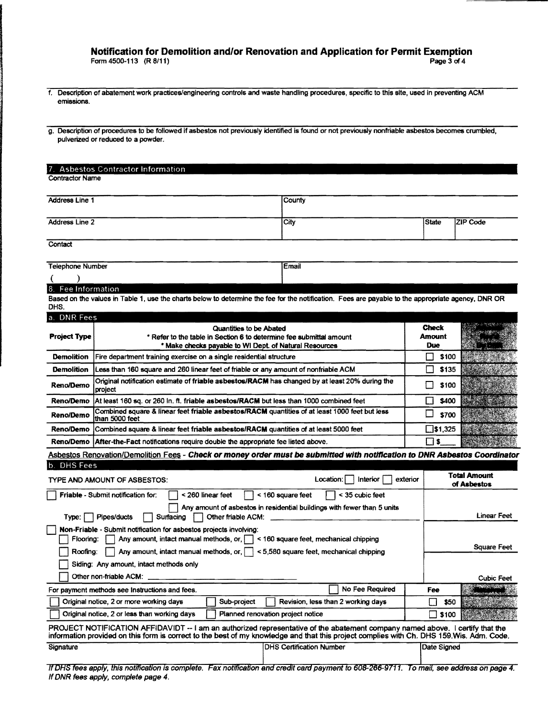### Notification for Demolition and/or Renovation and Application for Permit Exemption Form 4500-113 (R 8/11) Form 4500-113  $(R 8/11)$

1. Description of abatement work practices/engineering controls and waste handling procedures, specific to this site, used in preventing ACM emissions.

g. Description of procedures to be followed if asbestos not previously identified is found or not previously nonfriable asbestos becomes crumbled, pulverized or reduced to a powder.

## 7. Asbestos Contractor Information

Contractor Name

| Address Line 1 | County |              |          |
|----------------|--------|--------------|----------|
|                |        |              |          |
| Address Line 2 | City   | <b>State</b> | ZIP Code |
|                |        |              |          |
| Contact        |        |              |          |

#### 8. Fee Information

Based on the values in Table 1. use the charts below to determine the fee for the notification. Fees are payable to the appropriate agency. DNR OR DHS.

| a. DNR Fees                                                                                                                                                                                                                                                                |                                                                                                                                                                                                                                                                                                                                                                                                                                                                                                                                                   |                                      |                                                               |  |  |  |
|----------------------------------------------------------------------------------------------------------------------------------------------------------------------------------------------------------------------------------------------------------------------------|---------------------------------------------------------------------------------------------------------------------------------------------------------------------------------------------------------------------------------------------------------------------------------------------------------------------------------------------------------------------------------------------------------------------------------------------------------------------------------------------------------------------------------------------------|--------------------------------------|---------------------------------------------------------------|--|--|--|
| <b>Project Type</b>                                                                                                                                                                                                                                                        | Quantities to be Abated<br>* Refer to the table in Section 6 to determine fee submittal amount<br>* Make checks payable to WI Dept. of Natural Resources                                                                                                                                                                                                                                                                                                                                                                                          | <b>Check</b><br><b>Amount</b><br>Due |                                                               |  |  |  |
| <b>Demolition</b>                                                                                                                                                                                                                                                          | Fire department training exercise on a single residential structure                                                                                                                                                                                                                                                                                                                                                                                                                                                                               | \$100<br>П                           |                                                               |  |  |  |
| <b>Demolition</b>                                                                                                                                                                                                                                                          | Less than 160 square and 260 linear feet of friable or any amount of nonfriable ACM                                                                                                                                                                                                                                                                                                                                                                                                                                                               | \$135                                |                                                               |  |  |  |
| Reno/Demo                                                                                                                                                                                                                                                                  | Original notification estimate of friable asbestos/RACM has changed by at least 20% during the<br>project                                                                                                                                                                                                                                                                                                                                                                                                                                         | \$100                                |                                                               |  |  |  |
| Reno/Demo                                                                                                                                                                                                                                                                  | At least 160 sq. or 260 in. ft. friable as bestos/RACM but less than 1000 combined feet                                                                                                                                                                                                                                                                                                                                                                                                                                                           | \$400<br>П                           |                                                               |  |  |  |
| <b>Reno/Demo</b>                                                                                                                                                                                                                                                           | Combined square & linear feet friable asbestos/RACM quantities of at least 1000 feet but less<br>than 5000 feet                                                                                                                                                                                                                                                                                                                                                                                                                                   |                                      |                                                               |  |  |  |
| Reno/Demo                                                                                                                                                                                                                                                                  | Combined square & linear feet friable asbestos/RACM quantities of at least 5000 feet                                                                                                                                                                                                                                                                                                                                                                                                                                                              | $\Box$ \$1,325                       |                                                               |  |  |  |
| Reno/Demo                                                                                                                                                                                                                                                                  | <b>After-the-Fact notifications require double the appropriate fee listed above.</b>                                                                                                                                                                                                                                                                                                                                                                                                                                                              | $\Box$ s                             |                                                               |  |  |  |
| Asbestos Renovation/Demolition Fees - Check or money order must be submitted with notification to DNR Asbestos Coordinator                                                                                                                                                 |                                                                                                                                                                                                                                                                                                                                                                                                                                                                                                                                                   |                                      |                                                               |  |  |  |
| b. DHS Fees                                                                                                                                                                                                                                                                |                                                                                                                                                                                                                                                                                                                                                                                                                                                                                                                                                   |                                      |                                                               |  |  |  |
|                                                                                                                                                                                                                                                                            | Location:<br>Interior<br>TYPE AND AMOUNT OF ASBESTOS:                                                                                                                                                                                                                                                                                                                                                                                                                                                                                             | exterior                             | <b>Total Amount</b><br>of Asbestos                            |  |  |  |
| Type:<br>Flooring:<br>Roofing:                                                                                                                                                                                                                                             | Friable - Submit notification for:<br>< 260 linear feet<br>< 160 square feet<br>< 35 cubic feet<br>Any amount of asbestos in residential buildings with fewer than 5 units<br>Pipes/ducts<br>Surfacing<br>Other friable ACM:<br>Non-Friable - Submit notification for asbestos projects involving:<br>Any amount, intact manual methods, or,<br>< 160 square feet, mechanical chipping<br>Any amount, intact manual methods, or,<br>< 5,580 square feet, mechanical chipping<br>Siding: Any amount, intact methods only<br>Other non-friable ACM: |                                      | <b>Linear Feet</b><br><b>Square Feet</b><br><b>Cubic Feet</b> |  |  |  |
|                                                                                                                                                                                                                                                                            | No Fee Required<br>For payment methods see instructions and fees.                                                                                                                                                                                                                                                                                                                                                                                                                                                                                 | Fee                                  |                                                               |  |  |  |
|                                                                                                                                                                                                                                                                            | Original notice, 2 or more working days<br>Revision, less than 2 working days<br>Sub-project                                                                                                                                                                                                                                                                                                                                                                                                                                                      | П<br>\$50                            |                                                               |  |  |  |
|                                                                                                                                                                                                                                                                            | Original notice, 2 or less than working days<br>Planned renovation project notice                                                                                                                                                                                                                                                                                                                                                                                                                                                                 | \$100<br>П                           |                                                               |  |  |  |
| PROJECT NOTIFICATION AFFIDAVIDT -- I am an authorized representative of the abatement company named above. I certify that the<br>information provided on this form is correct to the best of my knowledge and that this project complies with Ch. DHS 159. Wis. Adm. Code. |                                                                                                                                                                                                                                                                                                                                                                                                                                                                                                                                                   |                                      |                                                               |  |  |  |
| Signature                                                                                                                                                                                                                                                                  | <b>DHS Certification Number</b>                                                                                                                                                                                                                                                                                                                                                                                                                                                                                                                   | Date Signed                          |                                                               |  |  |  |

If DHS fees apply, this notification is complete. Fax notification and credit card payment to 608-266-9711. To mail, see address on page 4. If DNR fees apply, complete page 4.